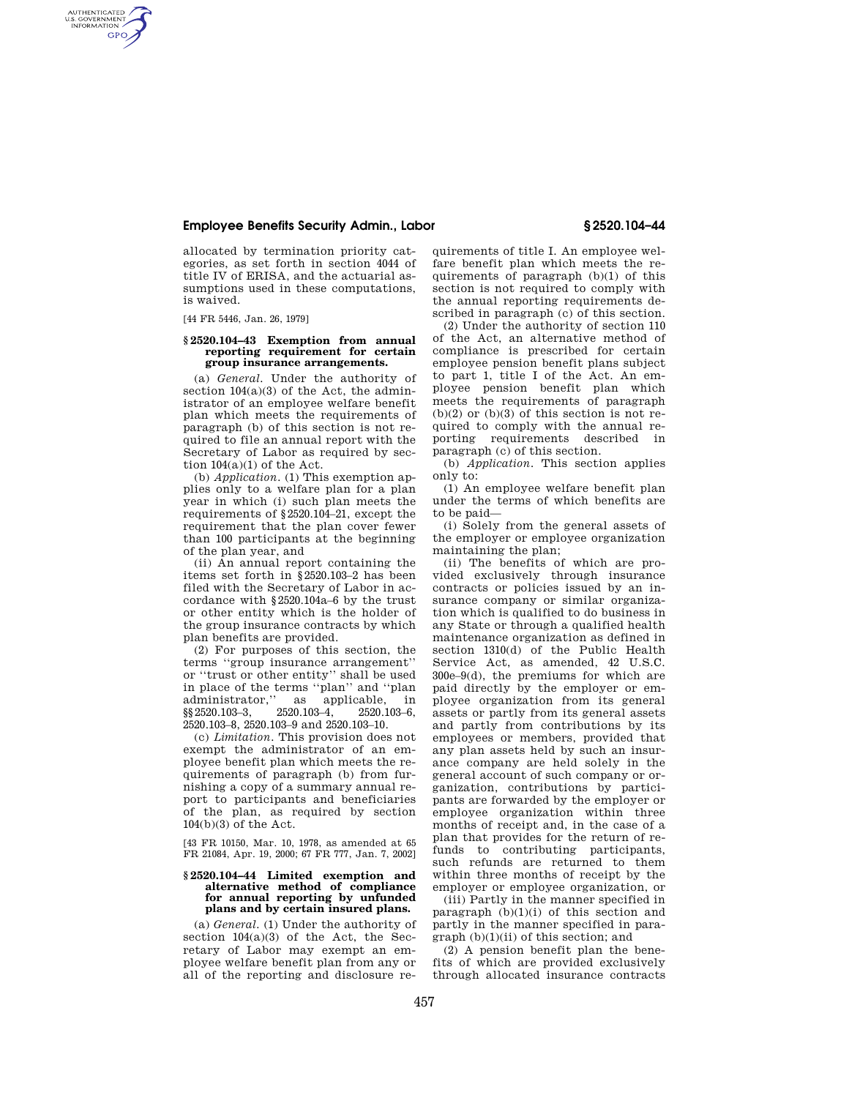## **Employee Benefits Security Admin., Labor § 2520.104–44**

allocated by termination priority categories, as set forth in section 4044 of title IV of ERISA, and the actuarial assumptions used in these computations, is waived.

[44 FR 5446, Jan. 26, 1979]

AUTHENTICATED<br>U.S. GOVERNMENT<br>INFORMATION **GPO** 

### **§ 2520.104–43 Exemption from annual reporting requirement for certain group insurance arrangements.**

(a) *General.* Under the authority of section  $104(a)(3)$  of the Act, the administrator of an employee welfare benefit plan which meets the requirements of paragraph (b) of this section is not required to file an annual report with the Secretary of Labor as required by section  $104(a)(1)$  of the Act.

(b) *Application.* (1) This exemption applies only to a welfare plan for a plan year in which (i) such plan meets the requirements of §2520.104–21, except the requirement that the plan cover fewer than 100 participants at the beginning of the plan year, and

(ii) An annual report containing the items set forth in §2520.103–2 has been filed with the Secretary of Labor in accordance with §2520.104a–6 by the trust or other entity which is the holder of the group insurance contracts by which plan benefits are provided.

(2) For purposes of this section, the terms ''group insurance arrangement'' or ''trust or other entity'' shall be used in place of the terms "plan" and "plan<br>administrator," as applicable, in administrator," as applicable, in <br>
§§ 2520.103-3, 2520.103-4, 2520.103-6, §§2520.103–3, 2520.103–4, 2520.103–6, 2520.103–8, 2520.103–9 and 2520.103–10.

(c) *Limitation.* This provision does not exempt the administrator of an employee benefit plan which meets the requirements of paragraph (b) from furnishing a copy of a summary annual report to participants and beneficiaries of the plan, as required by section 104(b)(3) of the Act.

[43 FR 10150, Mar. 10, 1978, as amended at 65 FR 21084, Apr. 19, 2000; 67 FR 777, Jan. 7, 2002]

### **§ 2520.104–44 Limited exemption and alternative method of compliance for annual reporting by unfunded plans and by certain insured plans.**

(a) *General.* (1) Under the authority of section  $104(a)(3)$  of the Act, the Secretary of Labor may exempt an employee welfare benefit plan from any or all of the reporting and disclosure re-

quirements of title I. An employee welfare benefit plan which meets the requirements of paragraph  $(b)(1)$  of this section is not required to comply with the annual reporting requirements described in paragraph (c) of this section.

(2) Under the authority of section 110 of the Act, an alternative method of compliance is prescribed for certain employee pension benefit plans subject to part 1, title I of the Act. An employee pension benefit plan which meets the requirements of paragraph  $(b)(2)$  or  $(b)(3)$  of this section is not required to comply with the annual reporting requirements described in paragraph (c) of this section.

(b) *Application.* This section applies only to:

(1) An employee welfare benefit plan under the terms of which benefits are to be paid—

(i) Solely from the general assets of the employer or employee organization maintaining the plan;

(ii) The benefits of which are provided exclusively through insurance contracts or policies issued by an insurance company or similar organization which is qualified to do business in any State or through a qualified health maintenance organization as defined in section 1310(d) of the Public Health Service Act, as amended, 42 U.S.C. 300e–9(d), the premiums for which are paid directly by the employer or employee organization from its general assets or partly from its general assets and partly from contributions by its employees or members, provided that any plan assets held by such an insurance company are held solely in the general account of such company or organization, contributions by participants are forwarded by the employer or employee organization within three months of receipt and, in the case of a plan that provides for the return of refunds to contributing participants, such refunds are returned to them within three months of receipt by the employer or employee organization, or

(iii) Partly in the manner specified in paragraph  $(b)(1)(i)$  of this section and partly in the manner specified in paragraph (b)(1)(ii) of this section; and

(2) A pension benefit plan the benefits of which are provided exclusively through allocated insurance contracts